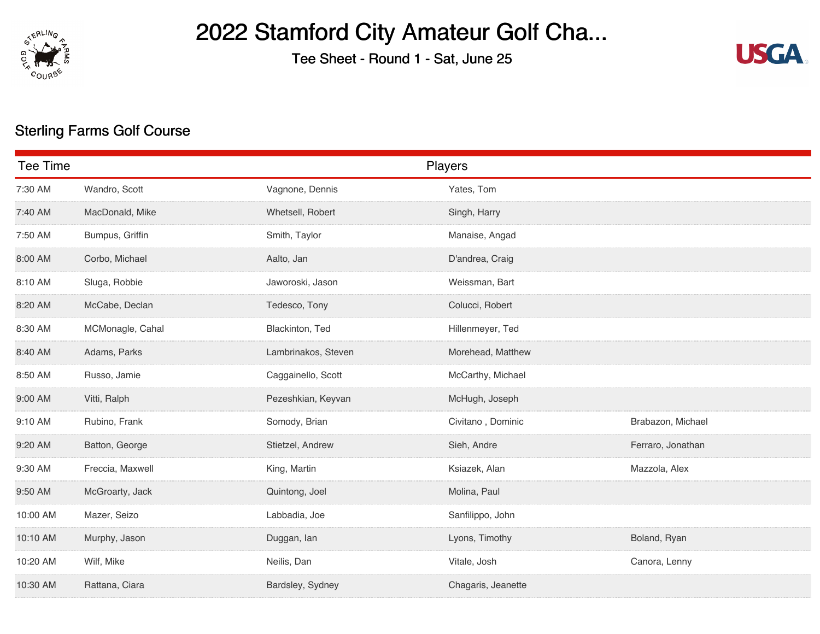

## 2022 Stamford City Amateur Golf Cha...

Tee Sheet - Round 1 - Sat, June 25



## Sterling Farms Golf Course

| <b>Tee Time</b> |                  |                     | Players            |                   |
|-----------------|------------------|---------------------|--------------------|-------------------|
| 7:30 AM         | Wandro, Scott    | Vagnone, Dennis     | Yates, Tom         |                   |
| 7:40 AM         | MacDonald, Mike  | Whetsell, Robert    | Singh, Harry       |                   |
| 7:50 AM         | Bumpus, Griffin  | Smith, Taylor       | Manaise, Angad     |                   |
| 8:00 AM         | Corbo, Michael   | Aalto, Jan          | D'andrea, Craig    |                   |
| 8:10 AM         | Sluga, Robbie    | Jaworoski, Jason    | Weissman, Bart     |                   |
| 8:20 AM         | McCabe, Declan   | Tedesco, Tony       | Colucci, Robert    |                   |
| 8:30 AM         | MCMonagle, Cahal | Blackinton, Ted     | Hillenmeyer, Ted   |                   |
| 8:40 AM         | Adams, Parks     | Lambrinakos, Steven | Morehead, Matthew  |                   |
| 8:50 AM         | Russo, Jamie     | Caggainello, Scott  | McCarthy, Michael  |                   |
| 9:00 AM         | Vitti, Ralph     | Pezeshkian, Keyvan  | McHugh, Joseph     |                   |
| 9:10 AM         | Rubino, Frank    | Somody, Brian       | Civitano, Dominic  | Brabazon, Michael |
| 9:20 AM         | Batton, George   | Stietzel, Andrew    | Sieh, Andre        | Ferraro, Jonathan |
| 9:30 AM         | Freccia, Maxwell | King, Martin        | Ksiazek, Alan      | Mazzola, Alex     |
| 9:50 AM         | McGroarty, Jack  | Quintong, Joel      | Molina, Paul       |                   |
| 10:00 AM        | Mazer, Seizo     | Labbadia, Joe       | Sanfilippo, John   |                   |
| 10:10 AM        | Murphy, Jason    | Duggan, lan         | Lyons, Timothy     | Boland, Ryan      |
| 10:20 AM        | Wilf, Mike       | Neilis, Dan         | Vitale, Josh       | Canora, Lenny     |
| 10:30 AM        | Rattana, Ciara   | Bardsley, Sydney    | Chagaris, Jeanette |                   |